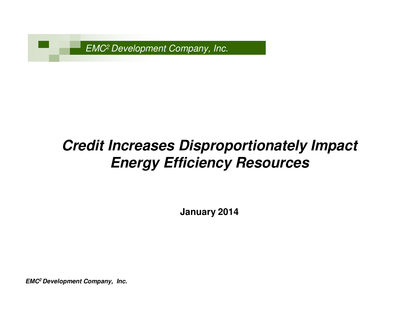EMC2 Development Company, Inc.

# **Credit Increases Disproportionately Impact Energy Efficiency Resources**

**January 2014**

**EMC<sup>2</sup>Development Company, Inc.**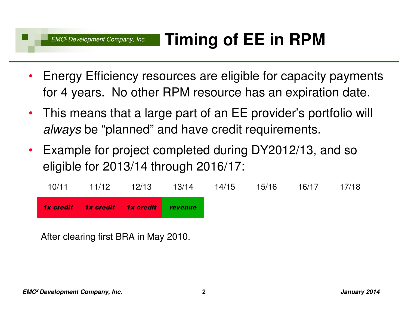- $\bullet$  Energy Efficiency resources are eligible for capacity payments for 4 years. No other RPM resource has an expiration date.
- $\bullet$  This means that a large part of an EE provider's portfolio will *always* be "planned" and have credit requirements.
- $\bullet$  Example for project completed during DY2012/13, and so eligible for 2013/14 through 2016/17:

| 10/11 | 11/12 | 12/13                                        | 13/14 | 14/15 | 15/16 | 16/17 | 17/18 |
|-------|-------|----------------------------------------------|-------|-------|-------|-------|-------|
|       |       | <b>1x credit 1x credit 1x credit revenue</b> |       |       |       |       |       |

After clearing first BRA in May 2010.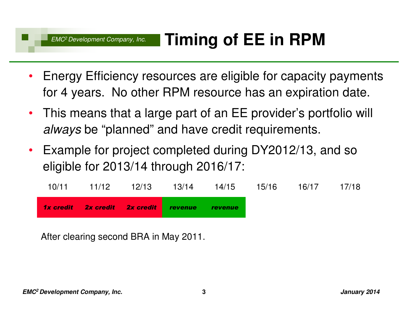- $\bullet$  Energy Efficiency resources are eligible for capacity payments for 4 years. No other RPM resource has an expiration date.
- $\bullet$  This means that a large part of an EE provider's portfolio will always be "planned" and have credit requirements.
- $\bullet$  Example for project completed during DY2012/13, and so eligible for 2013/14 through 2016/17:

| 10/11 | 11/12 | 12/13                                 | 13/14 | 14/15          | 15/16 | 16/17 | 17/18 |
|-------|-------|---------------------------------------|-------|----------------|-------|-------|-------|
|       |       | 1x credit 2x credit 2x credit revenue |       | <b>revenue</b> |       |       |       |

After clearing second BRA in May 2011.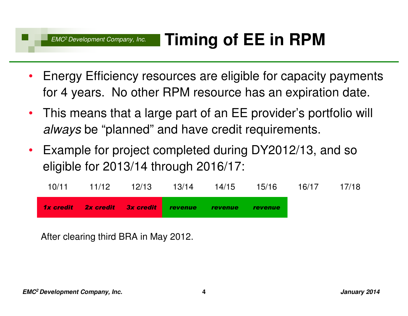- $\bullet$  Energy Efficiency resources are eligible for capacity payments for 4 years. No other RPM resource has an expiration date.
- $\bullet$  This means that a large part of an EE provider's portfolio will *always* be "planned" and have credit requirements.
- $\bullet$  Example for project completed during DY2012/13, and so eligible for 2013/14 through 2016/17:

|       |       | 1x credit 2x credit 3x credit revenue revenue |       |       | revenue |       |       |
|-------|-------|-----------------------------------------------|-------|-------|---------|-------|-------|
| 10/11 | 11/12 | 12/13                                         | 13/14 | 14/15 | 15/16   | 16/17 | 17/18 |

After clearing third BRA in May 2012.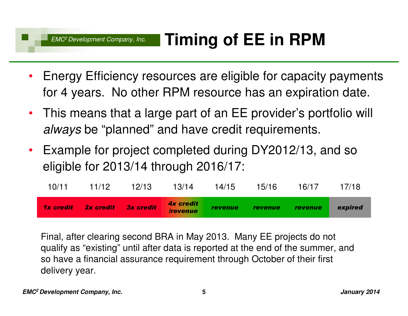- $\bullet$  Energy Efficiency resources are eligible for capacity payments for 4 years. No other RPM resource has an expiration date.
- $\bullet$  This means that a large part of an EE provider's portfolio will *always* be "planned" and have credit requirements.
- $\bullet$  Example for project completed during DY2012/13, and so eligible for 2013/14 through 2016/17:

| 10/11            | 11/12               | 12/13 | 13/14                                             | 14/15          | 15/16          | 16/17   | 17/18   |
|------------------|---------------------|-------|---------------------------------------------------|----------------|----------------|---------|---------|
| <b>1x credit</b> | 2x credit 3x credit |       | <b>4x credit</b><br><i><u><b>Irevenue</b></u></i> | <b>revenue</b> | <i>revenue</i> | revenue | expired |

Final, after clearing second BRA in May 2013. Many EE projects do not qualify as "existing" until after data is reported at the end of the summer, and so have a financial assurance requirement through October of their first delivery year.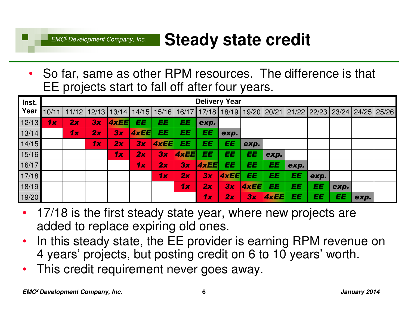#### EMC2 Development Company, Inc.**Steady state credit**

• So far, same as other RPM resources. The difference is that EE projects start to fall off after four years.

| Inst. |       | <b>Delivery Year</b> |    |               |       |       |             |                   |      |             |      |                                           |      |      |      |  |
|-------|-------|----------------------|----|---------------|-------|-------|-------------|-------------------|------|-------------|------|-------------------------------------------|------|------|------|--|
| Year  | 10/11 | 11/12                |    | $12/13$ 13/14 | 14/15 | 15/16 |             | 16/17 17/18 18/19 |      |             |      | 19/20 20/21 21/22 22/23 23/24 24/25 25/26 |      |      |      |  |
| 12/13 | 1x    | 2x                   | 3x | 4xEE          | EE    | EE    | EE          | exp.              |      |             |      |                                           |      |      |      |  |
| 13/14 |       | 1x                   | 2x | 3x            | 4xEE  | EE    | EE          | EE                | exp. |             |      |                                           |      |      |      |  |
| 14/15 |       |                      | 1x | 2x            | 3x    | 4xEE  | EE          | EE                | EE   | exp.        |      |                                           |      |      |      |  |
| 15/16 |       |                      |    | 1x            | 2x    | 3x    | <b>4xEE</b> | EE                | EE   | EE          | exp. |                                           |      |      |      |  |
| 16/17 |       |                      |    |               | 1x    | 2x    | 3x          | 4xEE              | EE   | EE          | EE   | exp.                                      |      |      |      |  |
| 17/18 |       |                      |    |               |       | 1x    | 2x          | 3x                | AxEE | EE          | EE   | EE                                        | exp. |      |      |  |
| 18/19 |       |                      |    |               |       |       | 1x          | 2x                | 3x   | <b>4xEE</b> | EE   | EE                                        | EE   | exp. |      |  |
| 19/20 |       |                      |    |               |       |       |             | 1x                | 2x   | 3x          | AxEE | EE                                        | EE   | EE   | exp. |  |

- 17/18 is the first steady state year, where new projects are added to replace expiring old ones.
- • In this steady state, the EE provider is earning RPM revenue on 4 years' projects, but posting credit on 6 to 10 years' worth.
- $\bullet$ This credit requirement never goes away.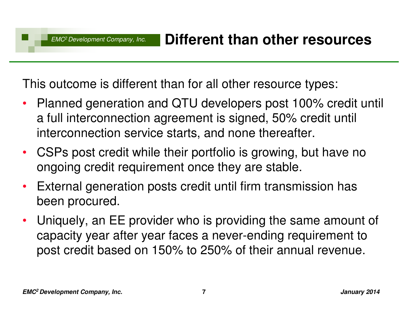This outcome is different than for all other resource types:

- $\bullet$  Planned generation and QTU developers post 100% credit until a full interconnection agreement is signed, 50% credit until interconnection service starts, and none thereafter.
- CSPs post credit while their portfolio is growing, but have no ongoing credit requirement once they are stable.
- $\bullet$  External generation posts credit until firm transmission has been procured.
- $\bullet$  Uniquely, an EE provider who is providing the same amount of capacity year after year faces a never-ending requirement to post credit based on 150% to 250% of their annual revenue.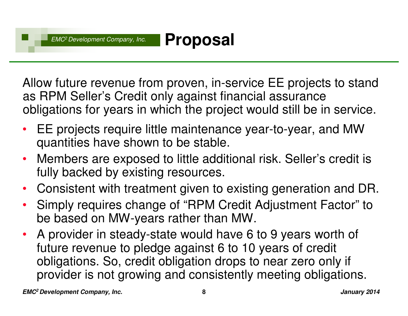**Proposal**

Allow future revenue from proven, in-service EE projects to stand as RPM Seller's Credit only against financial assurance obligations for years in which the project would still be in service.

- • EE projects require little maintenance year-to-year, and MW quantities have shown to be stable.
- • Members are exposed to little additional risk. Seller's credit is fully backed by existing resources.
- $\bullet$ Consistent with treatment given to existing generation and DR.
- • Simply requires change of "RPM Credit Adjustment Factor" to be based on MW-years rather than MW.
- • A provider in steady-state would have 6 to 9 years worth of future revenue to pledge against 6 to 10 years of credit obligations. So, credit obligation drops to near zero only if provider is not growing and consistently meeting obligations.

**EMC <sup>8</sup> <sup>2</sup>Development Company, Inc.**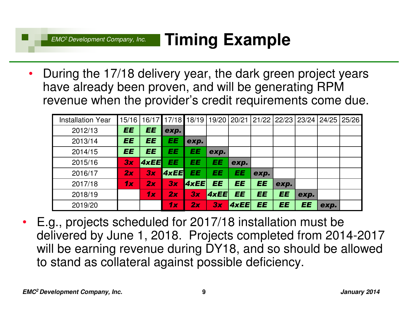#### EMC2 Development Company, Inc.**Timing Example**

• During the 17/18 delivery year, the dark green project years have already been proven, and will be generating RPM revenue when the provider's credit requirements come due.

| <b>Installation Year</b> | 15/16     |             |      | 16/17 17/18 18/19 |      |           | 19/20   20/21   21/22   22/23   23/24   24/25   25/26 |           |           |      |  |
|--------------------------|-----------|-------------|------|-------------------|------|-----------|-------------------------------------------------------|-----------|-----------|------|--|
| 2012/13                  | <b>EE</b> | EE          | exp. |                   |      |           |                                                       |           |           |      |  |
| 2013/14                  | EE        | EE          | EE   | exp.              |      |           |                                                       |           |           |      |  |
| 2014/15                  | EE        | EE          | EE   | EE                | exp. |           |                                                       |           |           |      |  |
| 2015/16                  | 3x        | <b>4xEE</b> | EE   | EE                | EE   | exp.      |                                                       |           |           |      |  |
| 2016/17                  | 2x        | 3x          | 4xEE | EE                | EE   | EE        | exp.                                                  |           |           |      |  |
| 2017/18                  | 1x        | 2x          | 3x   | 4xEE              | EE   | <b>EE</b> | EE                                                    | exp.      |           |      |  |
| 2018/19                  |           | 1x          | 2x   | 3x                | 4xEE | <b>EE</b> | EE                                                    | <b>EE</b> | exp.      |      |  |
| 2019/20                  |           |             | 1x   | 2x                | 3x   | 4xEE      | EE                                                    | <b>EE</b> | <b>EE</b> | exp. |  |

• E.g., projects scheduled for 2017/18 installation must be delivered by June 1, 2018. Projects completed from 2014-2017 will be earning revenue during DY18, and so should be allowed to stand as collateral against possible deficiency.